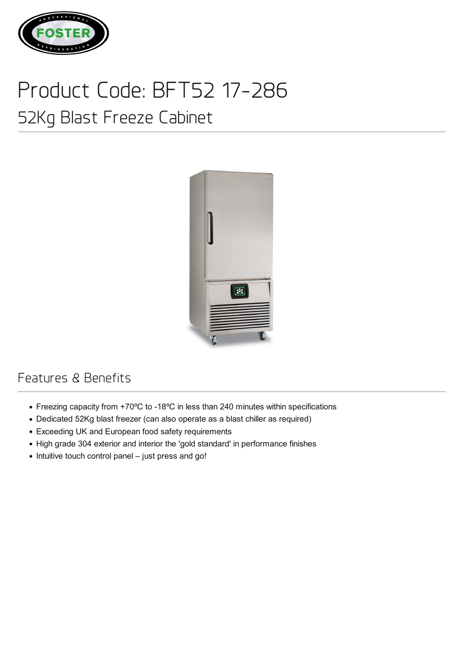

## Product Code: BFT52 17-286

## 52Kg Blast Freeze Cabinet



## Features & Benefits

- Freezing capacity from +70ºC to -18ºC in less than 240 minutes within specifications
- Dedicated 52Kg blast freezer (can also operate as a blast chiller as required)
- Exceeding UK and European food safety requirements
- High grade 304 exterior and interior the 'gold standard' in performance finishes
- Intuitive touch control panel just press and go!